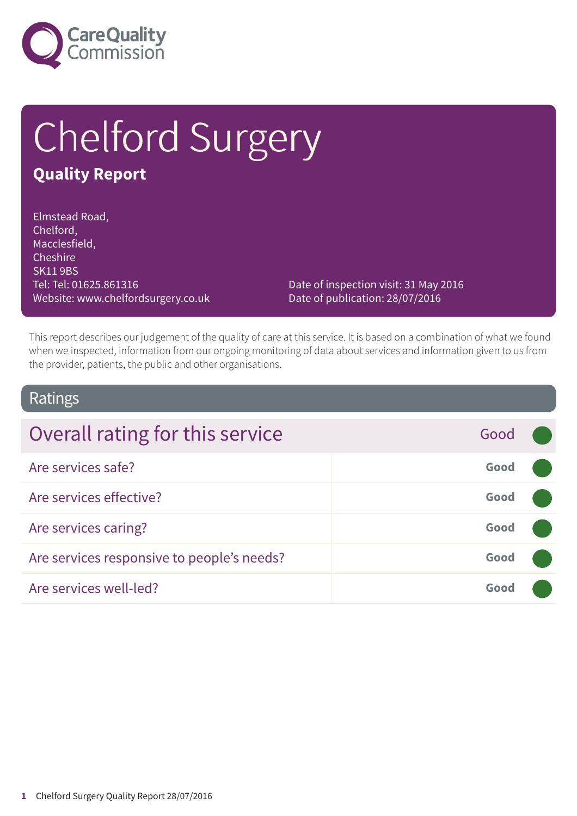

# Chelford Surgery

### **Quality Report**

Elmstead Road, Chelford, Macclesfield, **Cheshire** SK11 9BS Tel: Tel: 01625.861316 Website: www.chelfordsurgery.co.uk

Date of inspection visit: 31 May 2016 Date of publication: 28/07/2016

This report describes our judgement of the quality of care at this service. It is based on a combination of what we found when we inspected, information from our ongoing monitoring of data about services and information given to us from the provider, patients, the public and other organisations.

### Ratings

| Overall rating for this service            | Good |  |
|--------------------------------------------|------|--|
| Are services safe?                         | Good |  |
| Are services effective?                    | Good |  |
| Are services caring?                       | Good |  |
| Are services responsive to people's needs? | Good |  |
| Are services well-led?                     | Good |  |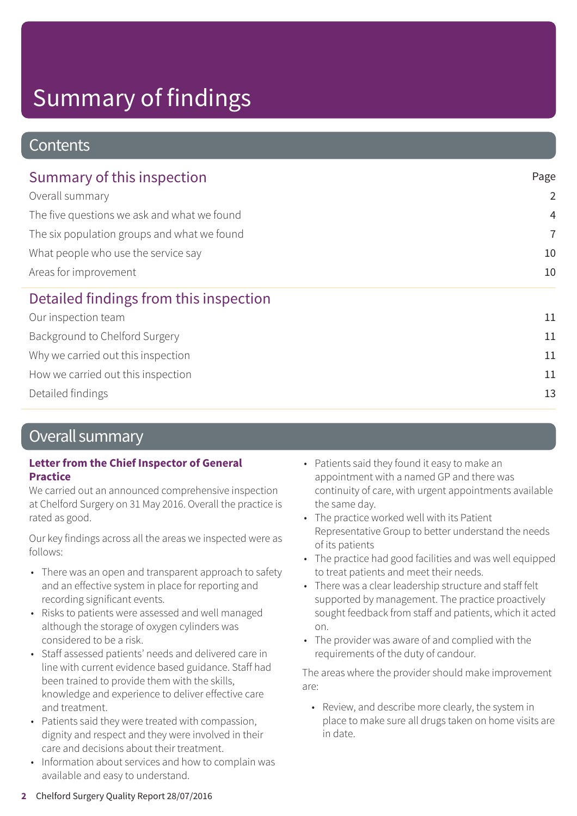### **Contents**

| Summary of this inspection<br>Overall summary<br>The five questions we ask and what we found<br>The six population groups and what we found | Page           |
|---------------------------------------------------------------------------------------------------------------------------------------------|----------------|
|                                                                                                                                             | $\overline{2}$ |
|                                                                                                                                             | $\overline{4}$ |
|                                                                                                                                             | $\overline{7}$ |
| What people who use the service say                                                                                                         | 10             |
| Areas for improvement                                                                                                                       | 10             |
| Detailed findings from this inspection                                                                                                      |                |
| Our inspection team                                                                                                                         | 11             |
| Background to Chelford Surgery                                                                                                              | 11             |
| Why we carried out this inspection                                                                                                          | 11             |
| How we carried out this inspection                                                                                                          | 11             |
| Detailed findings                                                                                                                           | 13             |

### Overall summary

#### **Letter from the Chief Inspector of General Practice**

We carried out an announced comprehensive inspection at Chelford Surgery on 31 May 2016. Overall the practice is rated as good.

Our key findings across all the areas we inspected were as follows:

- There was an open and transparent approach to safety and an effective system in place for reporting and recording significant events.
- Risks to patients were assessed and well managed although the storage of oxygen cylinders was considered to be a risk.
- Staff assessed patients' needs and delivered care in line with current evidence based guidance. Staff had been trained to provide them with the skills, knowledge and experience to deliver effective care and treatment.
- Patients said they were treated with compassion, dignity and respect and they were involved in their care and decisions about their treatment.
- Information about services and how to complain was available and easy to understand.
- Patients said they found it easy to make an appointment with a named GP and there was continuity of care, with urgent appointments available the same day.
- The practice worked well with its Patient Representative Group to better understand the needs of its patients
- The practice had good facilities and was well equipped to treat patients and meet their needs.
- There was a clear leadership structure and staff felt supported by management. The practice proactively sought feedback from staff and patients, which it acted on.
- The provider was aware of and complied with the requirements of the duty of candour.

The areas where the provider should make improvement are:

• Review, and describe more clearly, the system in place to make sure all drugs taken on home visits are in date.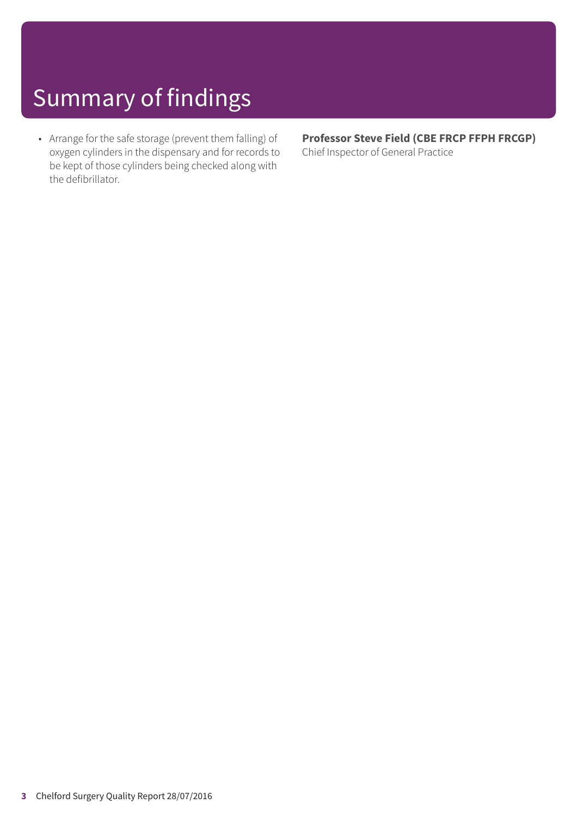• Arrange for the safe storage (prevent them falling) of oxygen cylinders in the dispensary and for records to be kept of those cylinders being checked along with the defibrillator.

**Professor Steve Field (CBE FRCP FFPH FRCGP)** Chief Inspector of General Practice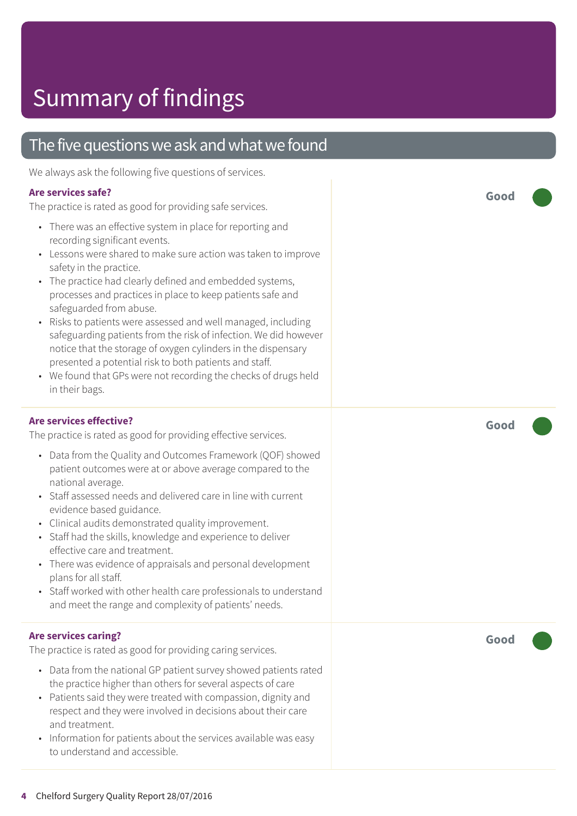### The five questions we ask and what we found

We always ask the following five questions of services.

#### **Are services safe?**

The practice is rated as good for providing safe services.

- There was an effective system in place for reporting and recording significant events.
- Lessons were shared to make sure action was taken to improve safety in the practice.
- The practice had clearly defined and embedded systems, processes and practices in place to keep patients safe and safeguarded from abuse.
- Risks to patients were assessed and well managed, including safeguarding patients from the risk of infection. We did however notice that the storage of oxygen cylinders in the dispensary presented a potential risk to both patients and staff.
- We found that GPs were not recording the checks of drugs held in their bags.

#### **Are services effective?**

The practice is rated as good for providing effective services.

- Data from the Quality and Outcomes Framework (QOF) showed patient outcomes were at or above average compared to the national average.
- Staff assessed needs and delivered care in line with current evidence based guidance.
- Clinical audits demonstrated quality improvement.
- Staff had the skills, knowledge and experience to deliver effective care and treatment.
- There was evidence of appraisals and personal development plans for all staff.
- Staff worked with other health care professionals to understand and meet the range and complexity of patients' needs.

#### **Are services caring?**

The practice is rated as good for providing caring services.

- Data from the national GP patient survey showed patients rated the practice higher than others for several aspects of care
- Patients said they were treated with compassion, dignity and respect and they were involved in decisions about their care and treatment.
- Information for patients about the services available was easy to understand and accessible.

**Good –––**

**Good –––**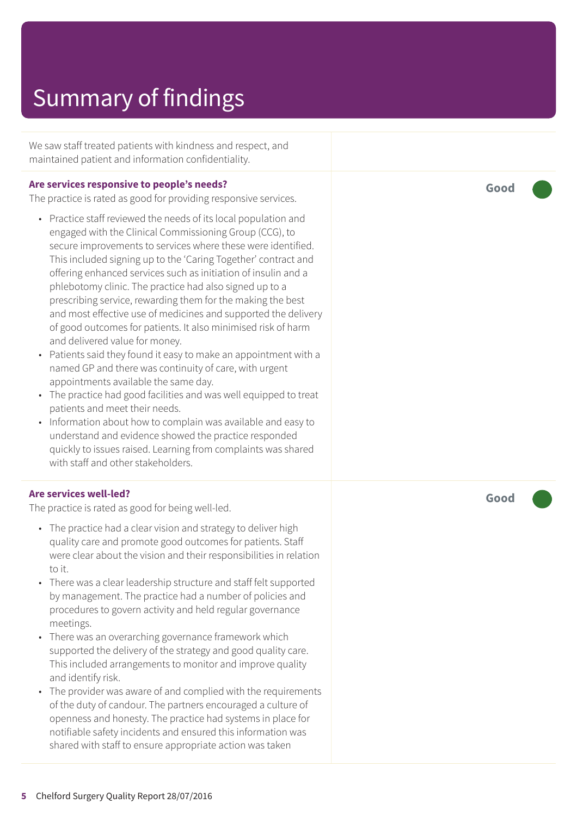We saw staff treated patients with kindness and respect, and maintained patient and information confidentiality.

#### **Are services responsive to people's needs?**

The practice is rated as good for providing responsive services.

- Practice staff reviewed the needs of its local population and engaged with the Clinical Commissioning Group (CCG), to secure improvements to services where these were identified. This included signing up to the 'Caring Together' contract and offering enhanced services such as initiation of insulin and a phlebotomy clinic. The practice had also signed up to a prescribing service, rewarding them for the making the best and most effective use of medicines and supported the delivery of good outcomes for patients. It also minimised risk of harm and delivered value for money.
- Patients said they found it easy to make an appointment with a named GP and there was continuity of care, with urgent appointments available the same day.
- The practice had good facilities and was well equipped to treat patients and meet their needs.
- Information about how to complain was available and easy to understand and evidence showed the practice responded quickly to issues raised. Learning from complaints was shared with staff and other stakeholders.

#### **Are services well-led?**

The practice is rated as good for being well-led.

- The practice had a clear vision and strategy to deliver high quality care and promote good outcomes for patients. Staff were clear about the vision and their responsibilities in relation to it.
- There was a clear leadership structure and staff felt supported by management. The practice had a number of policies and procedures to govern activity and held regular governance meetings.
- There was an overarching governance framework which supported the delivery of the strategy and good quality care. This included arrangements to monitor and improve quality and identify risk.
- The provider was aware of and complied with the requirements of the duty of candour. The partners encouraged a culture of openness and honesty. The practice had systems in place for notifiable safety incidents and ensured this information was shared with staff to ensure appropriate action was taken

**Good –––**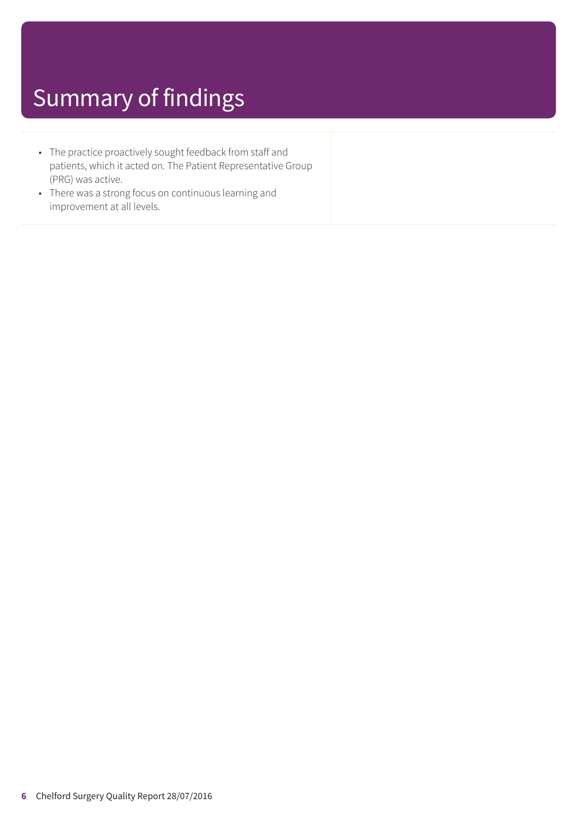- The practice proactively sought feedback from staff and patients, which it acted on. The Patient Representative Group (PRG) was active.
- There was a strong focus on continuous learning and improvement at all levels.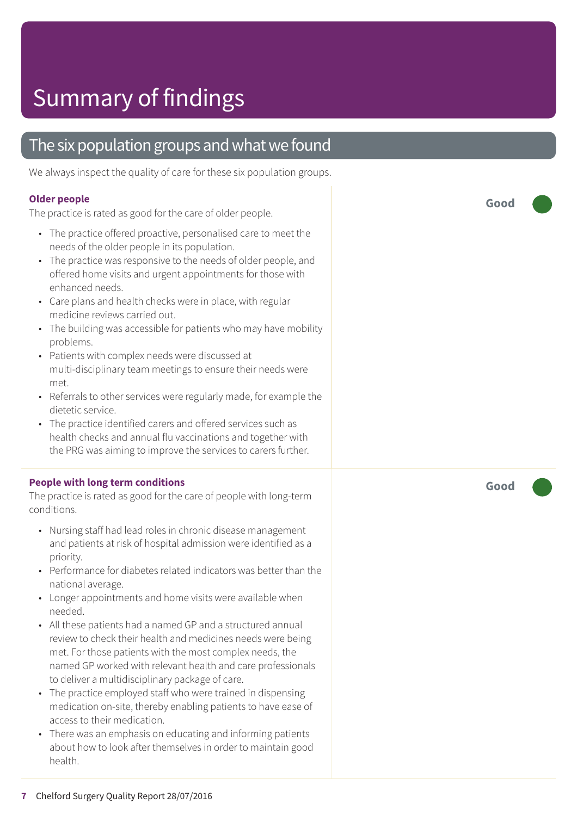### The six population groups and what we found

We always inspect the quality of care for these six population groups.

#### **Older people**

The practice is rated as good for the care of older people.

- The practice offered proactive, personalised care to meet the needs of the older people in its population.
- The practice was responsive to the needs of older people, and offered home visits and urgent appointments for those with enhanced needs.
- Care plans and health checks were in place, with regular medicine reviews carried out.
- The building was accessible for patients who may have mobility problems.
- Patients with complex needs were discussed at multi-disciplinary team meetings to ensure their needs were met.
- Referrals to other services were regularly made, for example the dietetic service.
- The practice identified carers and offered services such as health checks and annual flu vaccinations and together with the PRG was aiming to improve the services to carers further.

#### **People with long term conditions**

The practice is rated as good for the care of people with long-term conditions.

- Nursing staff had lead roles in chronic disease management and patients at risk of hospital admission were identified as a priority.
- Performance for diabetes related indicators was better than the national average.
- Longer appointments and home visits were available when needed.
- All these patients had a named GP and a structured annual review to check their health and medicines needs were being met. For those patients with the most complex needs, the named GP worked with relevant health and care professionals to deliver a multidisciplinary package of care.
- The practice employed staff who were trained in dispensing medication on-site, thereby enabling patients to have ease of access to their medication.
- There was an emphasis on educating and informing patients about how to look after themselves in order to maintain good health.

**Good –––**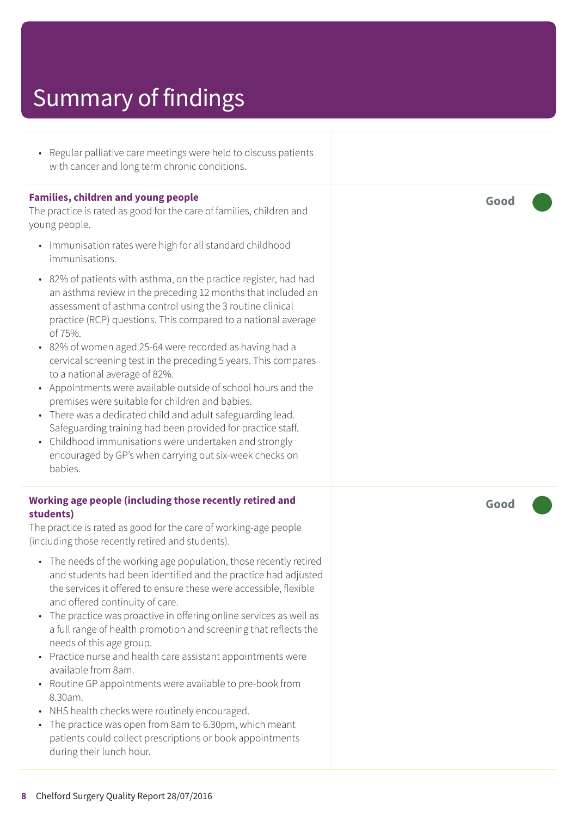• Regular palliative care meetings were held to discuss patients with cancer and long term chronic conditions.

#### **Families, children and young people**

The practice is rated as good for the care of families, children and young people.

- Immunisation rates were high for all standard childhood immunisations.
- 82% of patients with asthma, on the practice register, had had an asthma review in the preceding 12 months that included an assessment of asthma control using the 3 routine clinical practice (RCP) questions. This compared to a national average of 75%.
- 82% of women aged 25-64 were recorded as having had a cervical screening test in the preceding 5 years. This compares to a national average of 82%.
- Appointments were available outside of school hours and the premises were suitable for children and babies.
- There was a dedicated child and adult safeguarding lead. Safeguarding training had been provided for practice staff.
- Childhood immunisations were undertaken and strongly encouraged by GP's when carrying out six-week checks on babies.

#### **Working age people (including those recently retired and students)**

The practice is rated as good for the care of working-age people (including those recently retired and students).

- The needs of the working age population, those recently retired and students had been identified and the practice had adjusted the services it offered to ensure these were accessible, flexible and offered continuity of care.
- The practice was proactive in offering online services as well as a full range of health promotion and screening that reflects the needs of this age group.
- Practice nurse and health care assistant appointments were available from 8am.
- Routine GP appointments were available to pre-book from 8.30am.
- NHS health checks were routinely encouraged.
- The practice was open from 8am to 6.30pm, which meant patients could collect prescriptions or book appointments during their lunch hour.

**Good –––**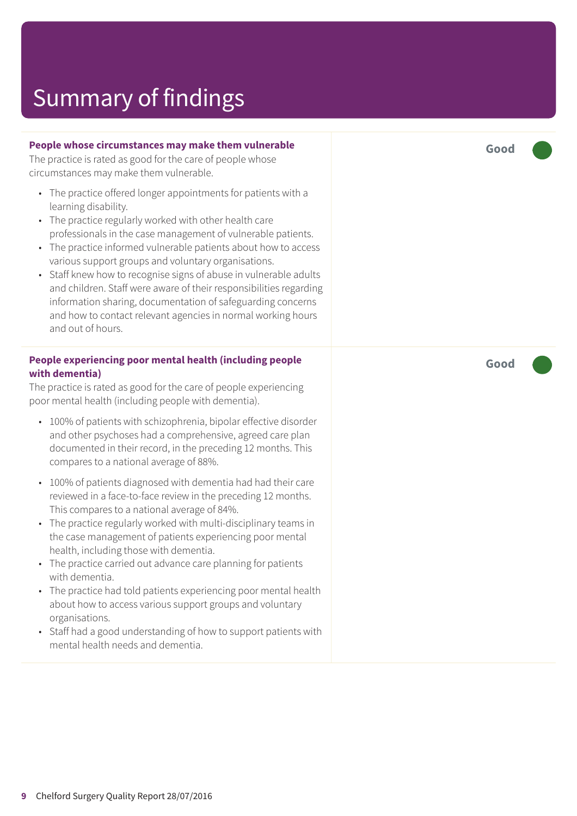#### **People whose circumstances may make them vulnerable**

The practice is rated as good for the care of people whose circumstances may make them vulnerable.

- The practice offered longer appointments for patients with a learning disability.
- The practice regularly worked with other health care professionals in the case management of vulnerable patients.
- The practice informed vulnerable patients about how to access various support groups and voluntary organisations.
- Staff knew how to recognise signs of abuse in vulnerable adults and children. Staff were aware of their responsibilities regarding information sharing, documentation of safeguarding concerns and how to contact relevant agencies in normal working hours and out of hours.

#### **People experiencing poor mental health (including people with dementia)**

The practice is rated as good for the care of people experiencing poor mental health (including people with dementia).

- 100% of patients with schizophrenia, bipolar effective disorder and other psychoses had a comprehensive, agreed care plan documented in their record, in the preceding 12 months. This compares to a national average of 88%.
- 100% of patients diagnosed with dementia had had their care reviewed in a face-to-face review in the preceding 12 months. This compares to a national average of 84%.
- The practice regularly worked with multi-disciplinary teams in the case management of patients experiencing poor mental health, including those with dementia.
- The practice carried out advance care planning for patients with dementia.
- The practice had told patients experiencing poor mental health about how to access various support groups and voluntary organisations.
- Staff had a good understanding of how to support patients with mental health needs and dementia.

**Good –––**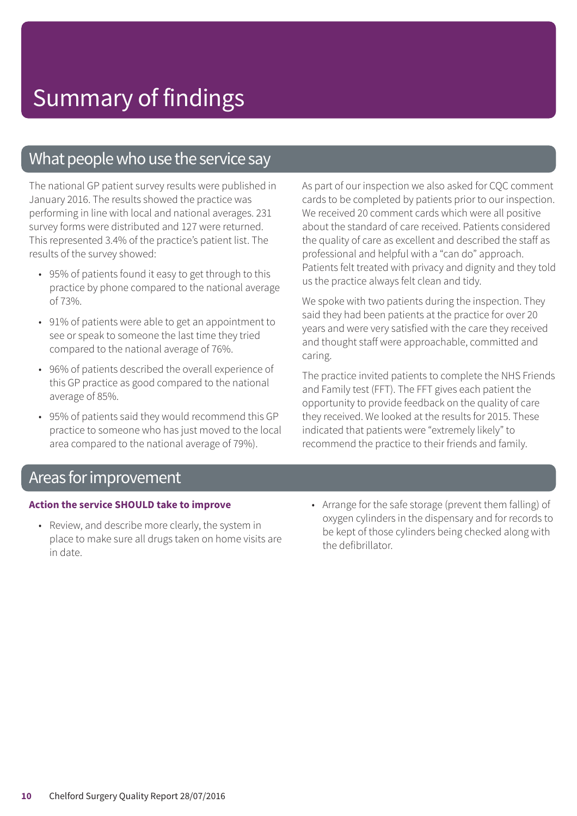### What people who use the service say

The national GP patient survey results were published in January 2016. The results showed the practice was performing in line with local and national averages. 231 survey forms were distributed and 127 were returned. This represented 3.4% of the practice's patient list. The results of the survey showed:

- 95% of patients found it easy to get through to this practice by phone compared to the national average of 73%.
- 91% of patients were able to get an appointment to see or speak to someone the last time they tried compared to the national average of 76%.
- 96% of patients described the overall experience of this GP practice as good compared to the national average of 85%.
- 95% of patients said they would recommend this GP practice to someone who has just moved to the local area compared to the national average of 79%).

As part of our inspection we also asked for CQC comment cards to be completed by patients prior to our inspection. We received 20 comment cards which were all positive about the standard of care received. Patients considered the quality of care as excellent and described the staff as professional and helpful with a "can do" approach. Patients felt treated with privacy and dignity and they told us the practice always felt clean and tidy.

We spoke with two patients during the inspection. They said they had been patients at the practice for over 20 years and were very satisfied with the care they received and thought staff were approachable, committed and caring.

The practice invited patients to complete the NHS Friends and Family test (FFT). The FFT gives each patient the opportunity to provide feedback on the quality of care they received. We looked at the results for 2015. These indicated that patients were "extremely likely" to recommend the practice to their friends and family.

### Areas for improvement

#### **Action the service SHOULD take to improve**

- Review, and describe more clearly, the system in place to make sure all drugs taken on home visits are in date.
- Arrange for the safe storage (prevent them falling) of oxygen cylinders in the dispensary and for records to be kept of those cylinders being checked along with the defibrillator.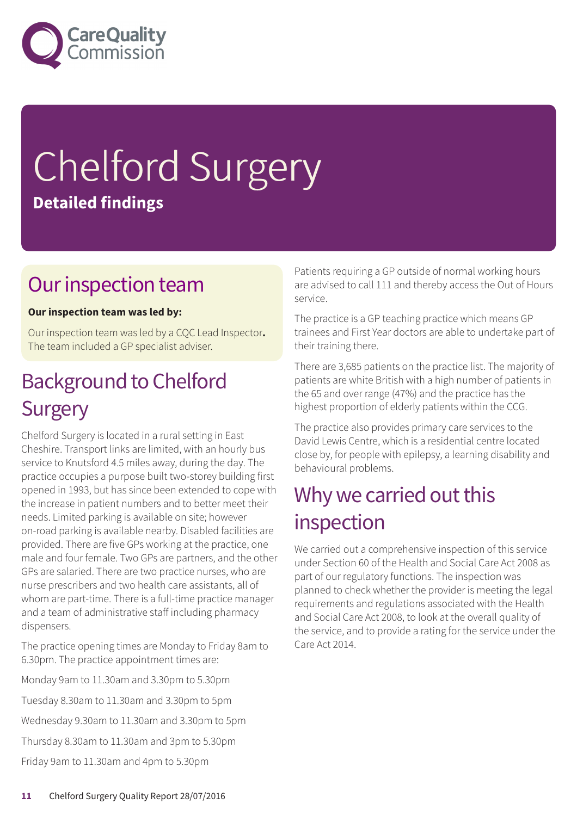

# Chelford Surgery **Detailed findings**

### Our inspection team

#### **Our inspection team was led by:**

Our inspection team was led by a CQC Lead Inspector**.** The team included a GP specialist adviser.

### **Background to Chelford Surgery**

Chelford Surgery is located in a rural setting in East Cheshire. Transport links are limited, with an hourly bus service to Knutsford 4.5 miles away, during the day. The practice occupies a purpose built two-storey building first opened in 1993, but has since been extended to cope with the increase in patient numbers and to better meet their needs. Limited parking is available on site; however on-road parking is available nearby. Disabled facilities are provided. There are five GPs working at the practice, one male and four female. Two GPs are partners, and the other GPs are salaried. There are two practice nurses, who are nurse prescribers and two health care assistants, all of whom are part-time. There is a full-time practice manager and a team of administrative staff including pharmacy dispensers.

The practice opening times are Monday to Friday 8am to 6.30pm. The practice appointment times are:

Monday 9am to 11.30am and 3.30pm to 5.30pm Tuesday 8.30am to 11.30am and 3.30pm to 5pm Wednesday 9.30am to 11.30am and 3.30pm to 5pm Thursday 8.30am to 11.30am and 3pm to 5.30pm Friday 9am to 11.30am and 4pm to 5.30pm

Patients requiring a GP outside of normal working hours are advised to call 111 and thereby access the Out of Hours service.

The practice is a GP teaching practice which means GP trainees and First Year doctors are able to undertake part of their training there.

There are 3,685 patients on the practice list. The majority of patients are white British with a high number of patients in the 65 and over range (47%) and the practice has the highest proportion of elderly patients within the CCG.

The practice also provides primary care services to the David Lewis Centre, which is a residential centre located close by, for people with epilepsy, a learning disability and behavioural problems.

### Why we carried out this inspection

We carried out a comprehensive inspection of this service under Section 60 of the Health and Social Care Act 2008 as part of our regulatory functions. The inspection was planned to check whether the provider is meeting the legal requirements and regulations associated with the Health and Social Care Act 2008, to look at the overall quality of the service, and to provide a rating for the service under the Care Act 2014.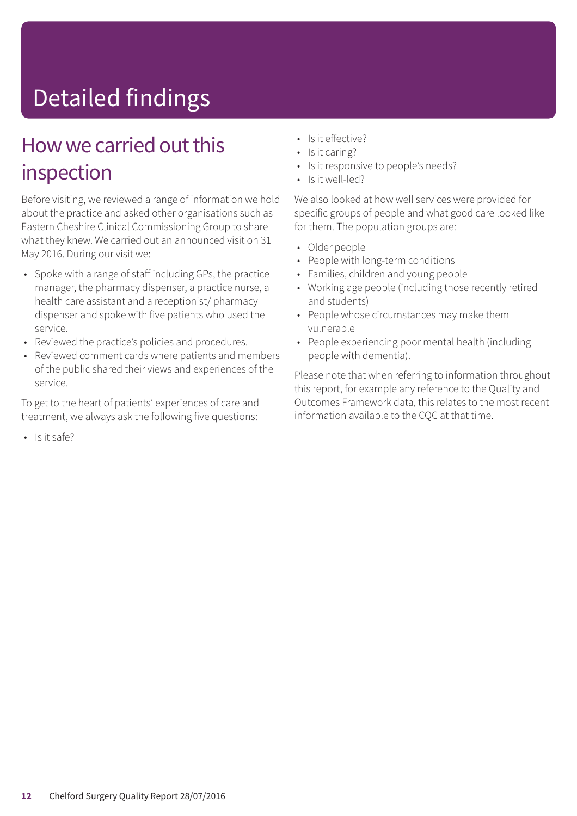# Detailed findings

### How we carried out this inspection

Before visiting, we reviewed a range of information we hold about the practice and asked other organisations such as Eastern Cheshire Clinical Commissioning Group to share what they knew. We carried out an announced visit on 31 May 2016. During our visit we:

- Spoke with a range of staff including GPs, the practice manager, the pharmacy dispenser, a practice nurse, a health care assistant and a receptionist/ pharmacy dispenser and spoke with five patients who used the service.
- Reviewed the practice's policies and procedures.
- Reviewed comment cards where patients and members of the public shared their views and experiences of the service.

To get to the heart of patients' experiences of care and treatment, we always ask the following five questions:

• Is it safe?

- Is it effective?
- Is it caring?
- Is it responsive to people's needs?
- Is it well-led?

We also looked at how well services were provided for specific groups of people and what good care looked like for them. The population groups are:

- Older people
- People with long-term conditions
- Families, children and young people
- Working age people (including those recently retired and students)
- People whose circumstances may make them vulnerable
- People experiencing poor mental health (including people with dementia).

Please note that when referring to information throughout this report, for example any reference to the Quality and Outcomes Framework data, this relates to the most recent information available to the CQC at that time.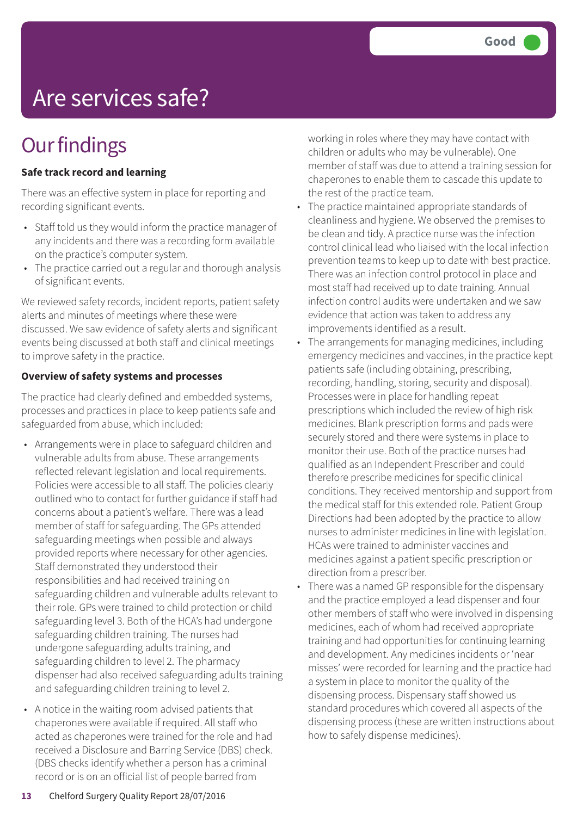# Are services safe?

### **Our findings**

#### **Safe track record and learning**

There was an effective system in place for reporting and recording significant events.

- Staff told us they would inform the practice manager of any incidents and there was a recording form available on the practice's computer system.
- The practice carried out a regular and thorough analysis of significant events.

We reviewed safety records, incident reports, patient safety alerts and minutes of meetings where these were discussed. We saw evidence of safety alerts and significant events being discussed at both staff and clinical meetings to improve safety in the practice.

#### **Overview of safety systems and processes**

The practice had clearly defined and embedded systems, processes and practices in place to keep patients safe and safeguarded from abuse, which included:

- Arrangements were in place to safeguard children and vulnerable adults from abuse. These arrangements reflected relevant legislation and local requirements. Policies were accessible to all staff. The policies clearly outlined who to contact for further guidance if staff had concerns about a patient's welfare. There was a lead member of staff for safeguarding. The GPs attended safeguarding meetings when possible and always provided reports where necessary for other agencies. Staff demonstrated they understood their responsibilities and had received training on safeguarding children and vulnerable adults relevant to their role. GPs were trained to child protection or child safeguarding level 3. Both of the HCA's had undergone safeguarding children training. The nurses had undergone safeguarding adults training, and safeguarding children to level 2. The pharmacy dispenser had also received safeguarding adults training and safeguarding children training to level 2.
- A notice in the waiting room advised patients that chaperones were available if required. All staff who acted as chaperones were trained for the role and had received a Disclosure and Barring Service (DBS) check. (DBS checks identify whether a person has a criminal record or is on an official list of people barred from

working in roles where they may have contact with children or adults who may be vulnerable). One member of staff was due to attend a training session for chaperones to enable them to cascade this update to the rest of the practice team.

- The practice maintained appropriate standards of cleanliness and hygiene. We observed the premises to be clean and tidy. A practice nurse was the infection control clinical lead who liaised with the local infection prevention teams to keep up to date with best practice. There was an infection control protocol in place and most staff had received up to date training. Annual infection control audits were undertaken and we saw evidence that action was taken to address any improvements identified as a result.
- The arrangements for managing medicines, including emergency medicines and vaccines, in the practice kept patients safe (including obtaining, prescribing, recording, handling, storing, security and disposal). Processes were in place for handling repeat prescriptions which included the review of high risk medicines. Blank prescription forms and pads were securely stored and there were systems in place to monitor their use. Both of the practice nurses had qualified as an Independent Prescriber and could therefore prescribe medicines for specific clinical conditions. They received mentorship and support from the medical staff for this extended role. Patient Group Directions had been adopted by the practice to allow nurses to administer medicines in line with legislation. HCAs were trained to administer vaccines and medicines against a patient specific prescription or direction from a prescriber.
- There was a named GP responsible for the dispensary and the practice employed a lead dispenser and four other members of staff who were involved in dispensing medicines, each of whom had received appropriate training and had opportunities for continuing learning and development. Any medicines incidents or 'near misses' were recorded for learning and the practice had a system in place to monitor the quality of the dispensing process. Dispensary staff showed us standard procedures which covered all aspects of the dispensing process (these are written instructions about how to safely dispense medicines).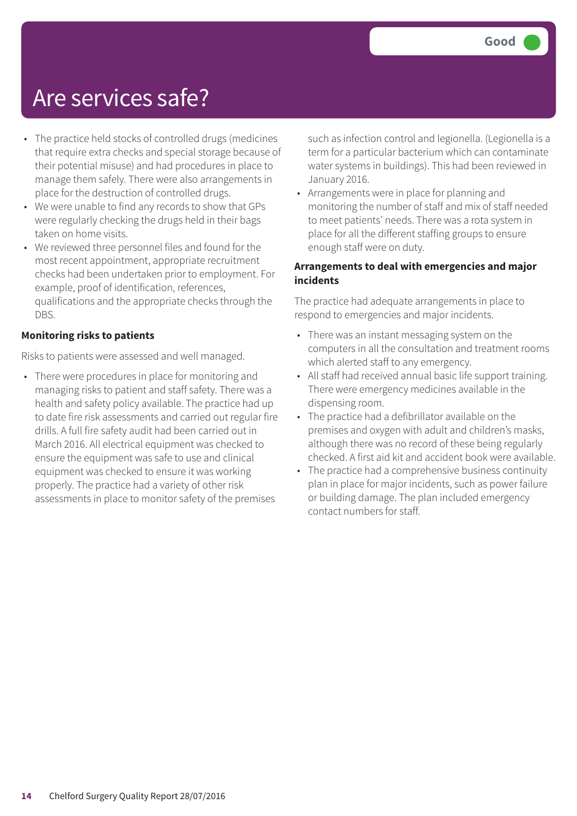### Are services safe?

- The practice held stocks of controlled drugs (medicines that require extra checks and special storage because of their potential misuse) and had procedures in place to manage them safely. There were also arrangements in place for the destruction of controlled drugs.
- We were unable to find any records to show that GPs were regularly checking the drugs held in their bags taken on home visits.
- We reviewed three personnel files and found for the most recent appointment, appropriate recruitment checks had been undertaken prior to employment. For example, proof of identification, references, qualifications and the appropriate checks through the DBS.

#### **Monitoring risks to patients**

Risks to patients were assessed and well managed.

• There were procedures in place for monitoring and managing risks to patient and staff safety. There was a health and safety policy available. The practice had up to date fire risk assessments and carried out regular fire drills. A full fire safety audit had been carried out in March 2016. All electrical equipment was checked to ensure the equipment was safe to use and clinical equipment was checked to ensure it was working properly. The practice had a variety of other risk assessments in place to monitor safety of the premises

such as infection control and legionella. (Legionella is a term for a particular bacterium which can contaminate water systems in buildings). This had been reviewed in January 2016.

• Arrangements were in place for planning and monitoring the number of staff and mix of staff needed to meet patients' needs. There was a rota system in place for all the different staffing groups to ensure enough staff were on duty.

#### **Arrangements to deal with emergencies and major incidents**

The practice had adequate arrangements in place to respond to emergencies and major incidents.

- There was an instant messaging system on the computers in all the consultation and treatment rooms which alerted staff to any emergency.
- All staff had received annual basic life support training. There were emergency medicines available in the dispensing room.
- The practice had a defibrillator available on the premises and oxygen with adult and children's masks, although there was no record of these being regularly checked. A first aid kit and accident book were available.
- The practice had a comprehensive business continuity plan in place for major incidents, such as power failure or building damage. The plan included emergency contact numbers for staff.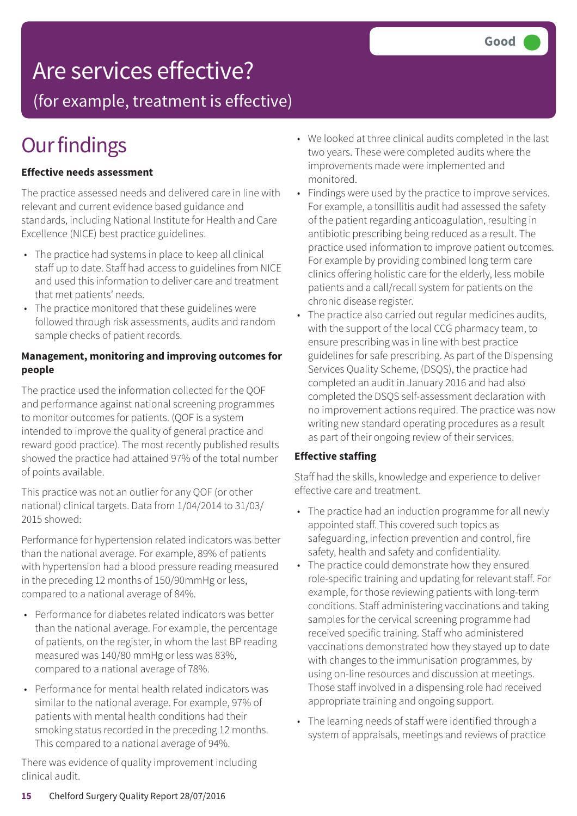### Are services effective?

(for example, treatment is effective)

### **Our findings**

#### **Effective needs assessment**

The practice assessed needs and delivered care in line with relevant and current evidence based guidance and standards, including National Institute for Health and Care Excellence (NICE) best practice guidelines.

- The practice had systems in place to keep all clinical staff up to date. Staff had access to guidelines from NICE and used this information to deliver care and treatment that met patients' needs.
- The practice monitored that these guidelines were followed through risk assessments, audits and random sample checks of patient records.

#### **Management, monitoring and improving outcomes for people**

The practice used the information collected for the QOF and performance against national screening programmes to monitor outcomes for patients. (QOF is a system intended to improve the quality of general practice and reward good practice). The most recently published results showed the practice had attained 97% of the total number of points available.

This practice was not an outlier for any QOF (or other national) clinical targets. Data from 1/04/2014 to 31/03/ 2015 showed:

Performance for hypertension related indicators was better than the national average. For example, 89% of patients with hypertension had a blood pressure reading measured in the preceding 12 months of 150/90mmHg or less, compared to a national average of 84%.

- Performance for diabetes related indicators was better than the national average. For example, the percentage of patients, on the register, in whom the last BP reading measured was 140/80 mmHg or less was 83%, compared to a national average of 78%.
- Performance for mental health related indicators was similar to the national average. For example, 97% of patients with mental health conditions had their smoking status recorded in the preceding 12 months. This compared to a national average of 94%.

There was evidence of quality improvement including clinical audit.

- We looked at three clinical audits completed in the last two years. These were completed audits where the improvements made were implemented and monitored.
- Findings were used by the practice to improve services. For example, a tonsillitis audit had assessed the safety of the patient regarding anticoagulation, resulting in antibiotic prescribing being reduced as a result. The practice used information to improve patient outcomes. For example by providing combined long term care clinics offering holistic care for the elderly, less mobile patients and a call/recall system for patients on the chronic disease register.
- The practice also carried out regular medicines audits, with the support of the local CCG pharmacy team, to ensure prescribing was in line with best practice guidelines for safe prescribing. As part of the Dispensing Services Quality Scheme, (DSQS), the practice had completed an audit in January 2016 and had also completed the DSQS self-assessment declaration with no improvement actions required. The practice was now writing new standard operating procedures as a result as part of their ongoing review of their services.

#### **Effective staffing**

Staff had the skills, knowledge and experience to deliver effective care and treatment.

- The practice had an induction programme for all newly appointed staff. This covered such topics as safeguarding, infection prevention and control, fire safety, health and safety and confidentiality.
- The practice could demonstrate how they ensured role-specific training and updating for relevant staff. For example, for those reviewing patients with long-term conditions. Staff administering vaccinations and taking samples for the cervical screening programme had received specific training. Staff who administered vaccinations demonstrated how they stayed up to date with changes to the immunisation programmes, by using on-line resources and discussion at meetings. Those staff involved in a dispensing role had received appropriate training and ongoing support.
- The learning needs of staff were identified through a system of appraisals, meetings and reviews of practice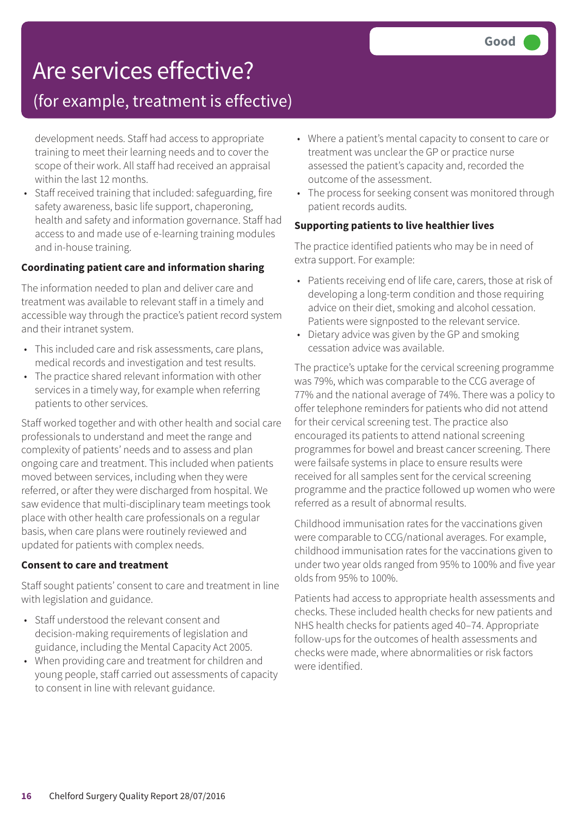### Are services effective?

### (for example, treatment is effective)

development needs. Staff had access to appropriate training to meet their learning needs and to cover the scope of their work. All staff had received an appraisal within the last 12 months.

• Staff received training that included: safeguarding, fire safety awareness, basic life support, chaperoning, health and safety and information governance. Staff had access to and made use of e-learning training modules and in-house training.

#### **Coordinating patient care and information sharing**

The information needed to plan and deliver care and treatment was available to relevant staff in a timely and accessible way through the practice's patient record system and their intranet system.

- This included care and risk assessments, care plans, medical records and investigation and test results.
- The practice shared relevant information with other services in a timely way, for example when referring patients to other services.

Staff worked together and with other health and social care professionals to understand and meet the range and complexity of patients' needs and to assess and plan ongoing care and treatment. This included when patients moved between services, including when they were referred, or after they were discharged from hospital. We saw evidence that multi-disciplinary team meetings took place with other health care professionals on a regular basis, when care plans were routinely reviewed and updated for patients with complex needs.

#### **Consent to care and treatment**

Staff sought patients' consent to care and treatment in line with legislation and guidance.

- Staff understood the relevant consent and decision-making requirements of legislation and guidance, including the Mental Capacity Act 2005.
- When providing care and treatment for children and young people, staff carried out assessments of capacity to consent in line with relevant guidance.
- Where a patient's mental capacity to consent to care or treatment was unclear the GP or practice nurse assessed the patient's capacity and, recorded the outcome of the assessment.
- The process for seeking consent was monitored through patient records audits.

#### **Supporting patients to live healthier lives**

The practice identified patients who may be in need of extra support. For example:

- Patients receiving end of life care, carers, those at risk of developing a long-term condition and those requiring advice on their diet, smoking and alcohol cessation. Patients were signposted to the relevant service.
- Dietary advice was given by the GP and smoking cessation advice was available.

The practice's uptake for the cervical screening programme was 79%, which was comparable to the CCG average of 77% and the national average of 74%. There was a policy to offer telephone reminders for patients who did not attend for their cervical screening test. The practice also encouraged its patients to attend national screening programmes for bowel and breast cancer screening. There were failsafe systems in place to ensure results were received for all samples sent for the cervical screening programme and the practice followed up women who were referred as a result of abnormal results.

Childhood immunisation rates for the vaccinations given were comparable to CCG/national averages. For example, childhood immunisation rates for the vaccinations given to under two year olds ranged from 95% to 100% and five year olds from 95% to 100%.

Patients had access to appropriate health assessments and checks. These included health checks for new patients and NHS health checks for patients aged 40–74. Appropriate follow-ups for the outcomes of health assessments and checks were made, where abnormalities or risk factors were identified.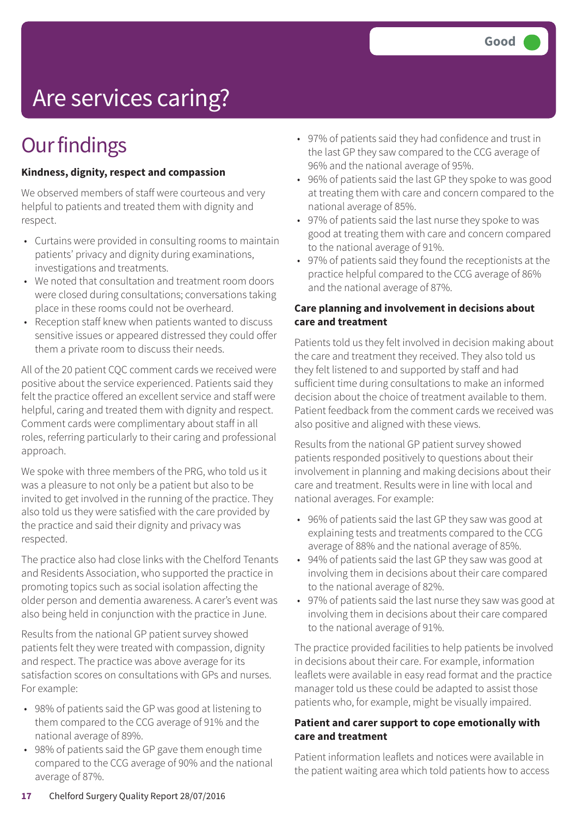# Are services caring?

### **Our findings**

#### **Kindness, dignity, respect and compassion**

We observed members of staff were courteous and very helpful to patients and treated them with dignity and respect.

- Curtains were provided in consulting rooms to maintain patients' privacy and dignity during examinations, investigations and treatments.
- We noted that consultation and treatment room doors were closed during consultations; conversations taking place in these rooms could not be overheard.
- Reception staff knew when patients wanted to discuss sensitive issues or appeared distressed they could offer them a private room to discuss their needs.

All of the 20 patient CQC comment cards we received were positive about the service experienced. Patients said they felt the practice offered an excellent service and staff were helpful, caring and treated them with dignity and respect. Comment cards were complimentary about staff in all roles, referring particularly to their caring and professional approach.

We spoke with three members of the PRG, who told us it was a pleasure to not only be a patient but also to be invited to get involved in the running of the practice. They also told us they were satisfied with the care provided by the practice and said their dignity and privacy was respected.

The practice also had close links with the Chelford Tenants and Residents Association, who supported the practice in promoting topics such as social isolation affecting the older person and dementia awareness. A carer's event was also being held in conjunction with the practice in June.

Results from the national GP patient survey showed patients felt they were treated with compassion, dignity and respect. The practice was above average for its satisfaction scores on consultations with GPs and nurses. For example:

- 98% of patients said the GP was good at listening to them compared to the CCG average of 91% and the national average of 89%.
- 98% of patients said the GP gave them enough time compared to the CCG average of 90% and the national average of 87%.
- 97% of patients said they had confidence and trust in the last GP they saw compared to the CCG average of 96% and the national average of 95%.
- 96% of patients said the last GP they spoke to was good at treating them with care and concern compared to the national average of 85%.
- 97% of patients said the last nurse they spoke to was good at treating them with care and concern compared to the national average of 91%.
- 97% of patients said they found the receptionists at the practice helpful compared to the CCG average of 86% and the national average of 87%.

#### **Care planning and involvement in decisions about care and treatment**

Patients told us they felt involved in decision making about the care and treatment they received. They also told us they felt listened to and supported by staff and had sufficient time during consultations to make an informed decision about the choice of treatment available to them. Patient feedback from the comment cards we received was also positive and aligned with these views.

Results from the national GP patient survey showed patients responded positively to questions about their involvement in planning and making decisions about their care and treatment. Results were in line with local and national averages. For example:

- 96% of patients said the last GP they saw was good at explaining tests and treatments compared to the CCG average of 88% and the national average of 85%.
- 94% of patients said the last GP they saw was good at involving them in decisions about their care compared to the national average of 82%.
- 97% of patients said the last nurse they saw was good at involving them in decisions about their care compared to the national average of 91%.

The practice provided facilities to help patients be involved in decisions about their care. For example, information leaflets were available in easy read format and the practice manager told us these could be adapted to assist those patients who, for example, might be visually impaired.

#### **Patient and carer support to cope emotionally with care and treatment**

Patient information leaflets and notices were available in the patient waiting area which told patients how to access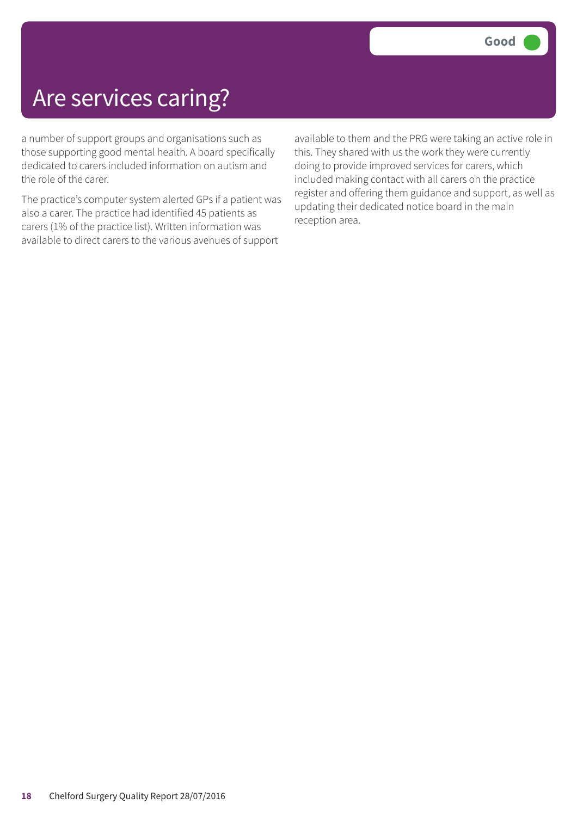### Are services caring?

a number of support groups and organisations such as those supporting good mental health. A board specifically dedicated to carers included information on autism and the role of the carer.

The practice's computer system alerted GPs if a patient was also a carer. The practice had identified 45 patients as carers (1% of the practice list). Written information was available to direct carers to the various avenues of support

available to them and the PRG were taking an active role in this. They shared with us the work they were currently doing to provide improved services for carers, which included making contact with all carers on the practice register and offering them guidance and support, as well as updating their dedicated notice board in the main reception area.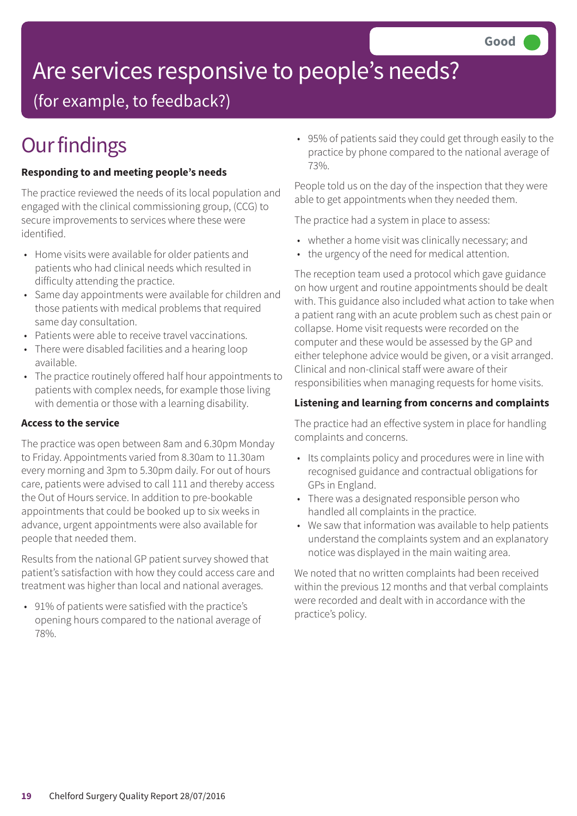# Are services responsive to people's needs?

(for example, to feedback?)

## **Our findings**

#### **Responding to and meeting people's needs**

The practice reviewed the needs of its local population and engaged with the clinical commissioning group, (CCG) to secure improvements to services where these were identified.

- Home visits were available for older patients and patients who had clinical needs which resulted in difficulty attending the practice.
- Same day appointments were available for children and those patients with medical problems that required same day consultation.
- Patients were able to receive travel vaccinations.
- There were disabled facilities and a hearing loop available.
- The practice routinely offered half hour appointments to patients with complex needs, for example those living with dementia or those with a learning disability.

#### **Access to the service**

The practice was open between 8am and 6.30pm Monday to Friday. Appointments varied from 8.30am to 11.30am every morning and 3pm to 5.30pm daily. For out of hours care, patients were advised to call 111 and thereby access the Out of Hours service. In addition to pre-bookable appointments that could be booked up to six weeks in advance, urgent appointments were also available for people that needed them.

Results from the national GP patient survey showed that patient's satisfaction with how they could access care and treatment was higher than local and national averages.

• 91% of patients were satisfied with the practice's opening hours compared to the national average of 78%.

• 95% of patients said they could get through easily to the practice by phone compared to the national average of 73%.

People told us on the day of the inspection that they were able to get appointments when they needed them.

The practice had a system in place to assess:

- whether a home visit was clinically necessary; and
- the urgency of the need for medical attention.

The reception team used a protocol which gave guidance on how urgent and routine appointments should be dealt with. This guidance also included what action to take when a patient rang with an acute problem such as chest pain or collapse. Home visit requests were recorded on the computer and these would be assessed by the GP and either telephone advice would be given, or a visit arranged. Clinical and non-clinical staff were aware of their responsibilities when managing requests for home visits.

#### **Listening and learning from concerns and complaints**

The practice had an effective system in place for handling complaints and concerns.

- Its complaints policy and procedures were in line with recognised guidance and contractual obligations for GPs in England.
- There was a designated responsible person who handled all complaints in the practice.
- We saw that information was available to help patients understand the complaints system and an explanatory notice was displayed in the main waiting area.

We noted that no written complaints had been received within the previous 12 months and that verbal complaints were recorded and dealt with in accordance with the practice's policy.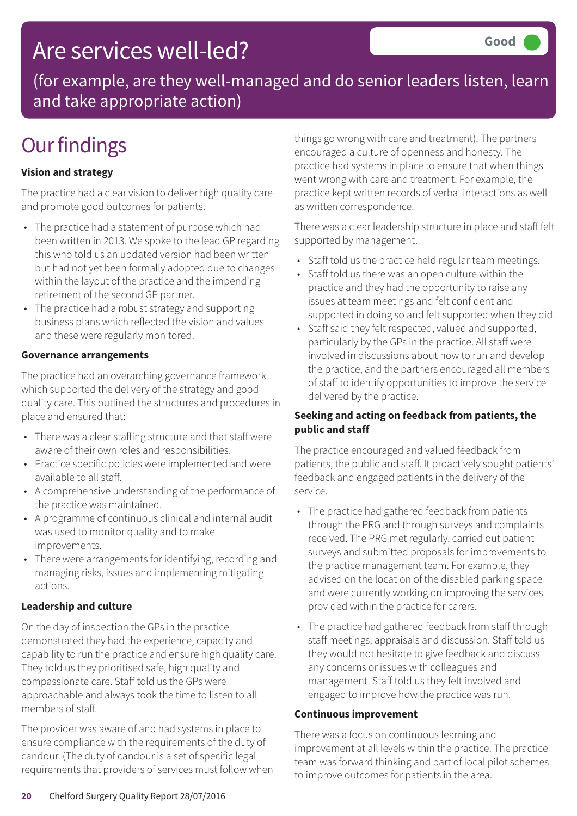### Are services well-led?

(for example, are they well-managed and do senior leaders listen, learn and take appropriate action)

### **Our findings**

#### **Vision and strategy**

The practice had a clear vision to deliver high quality care and promote good outcomes for patients.

- The practice had a statement of purpose which had been written in 2013. We spoke to the lead GP regarding this who told us an updated version had been written but had not yet been formally adopted due to changes within the layout of the practice and the impending retirement of the second GP partner.
- The practice had a robust strategy and supporting business plans which reflected the vision and values and these were regularly monitored.

#### **Governance arrangements**

The practice had an overarching governance framework which supported the delivery of the strategy and good quality care. This outlined the structures and procedures in place and ensured that:

- There was a clear staffing structure and that staff were aware of their own roles and responsibilities.
- Practice specific policies were implemented and were available to all staff.
- A comprehensive understanding of the performance of the practice was maintained.
- A programme of continuous clinical and internal audit was used to monitor quality and to make improvements.
- There were arrangements for identifying, recording and managing risks, issues and implementing mitigating actions.

#### **Leadership and culture**

On the day of inspection the GPs in the practice demonstrated they had the experience, capacity and capability to run the practice and ensure high quality care. They told us they prioritised safe, high quality and compassionate care. Staff told us the GPs were approachable and always took the time to listen to all members of staff.

The provider was aware of and had systems in place to ensure compliance with the requirements of the duty of candour. (The duty of candour is a set of specific legal requirements that providers of services must follow when things go wrong with care and treatment). The partners encouraged a culture of openness and honesty. The practice had systems in place to ensure that when things went wrong with care and treatment. For example, the practice kept written records of verbal interactions as well as written correspondence.

There was a clear leadership structure in place and staff felt supported by management.

- Staff told us the practice held regular team meetings.
- Staff told us there was an open culture within the practice and they had the opportunity to raise any issues at team meetings and felt confident and supported in doing so and felt supported when they did.
- Staff said they felt respected, valued and supported, particularly by the GPs in the practice. All staff were involved in discussions about how to run and develop the practice, and the partners encouraged all members of staff to identify opportunities to improve the service delivered by the practice.

#### **Seeking and acting on feedback from patients, the public and staff**

The practice encouraged and valued feedback from patients, the public and staff. It proactively sought patients' feedback and engaged patients in the delivery of the service.

- The practice had gathered feedback from patients through the PRG and through surveys and complaints received. The PRG met regularly, carried out patient surveys and submitted proposals for improvements to the practice management team. For example, they advised on the location of the disabled parking space and were currently working on improving the services provided within the practice for carers.
- The practice had gathered feedback from staff through staff meetings, appraisals and discussion. Staff told us they would not hesitate to give feedback and discuss any concerns or issues with colleagues and management. Staff told us they felt involved and engaged to improve how the practice was run.

#### **Continuous improvement**

There was a focus on continuous learning and improvement at all levels within the practice. The practice team was forward thinking and part of local pilot schemes to improve outcomes for patients in the area.